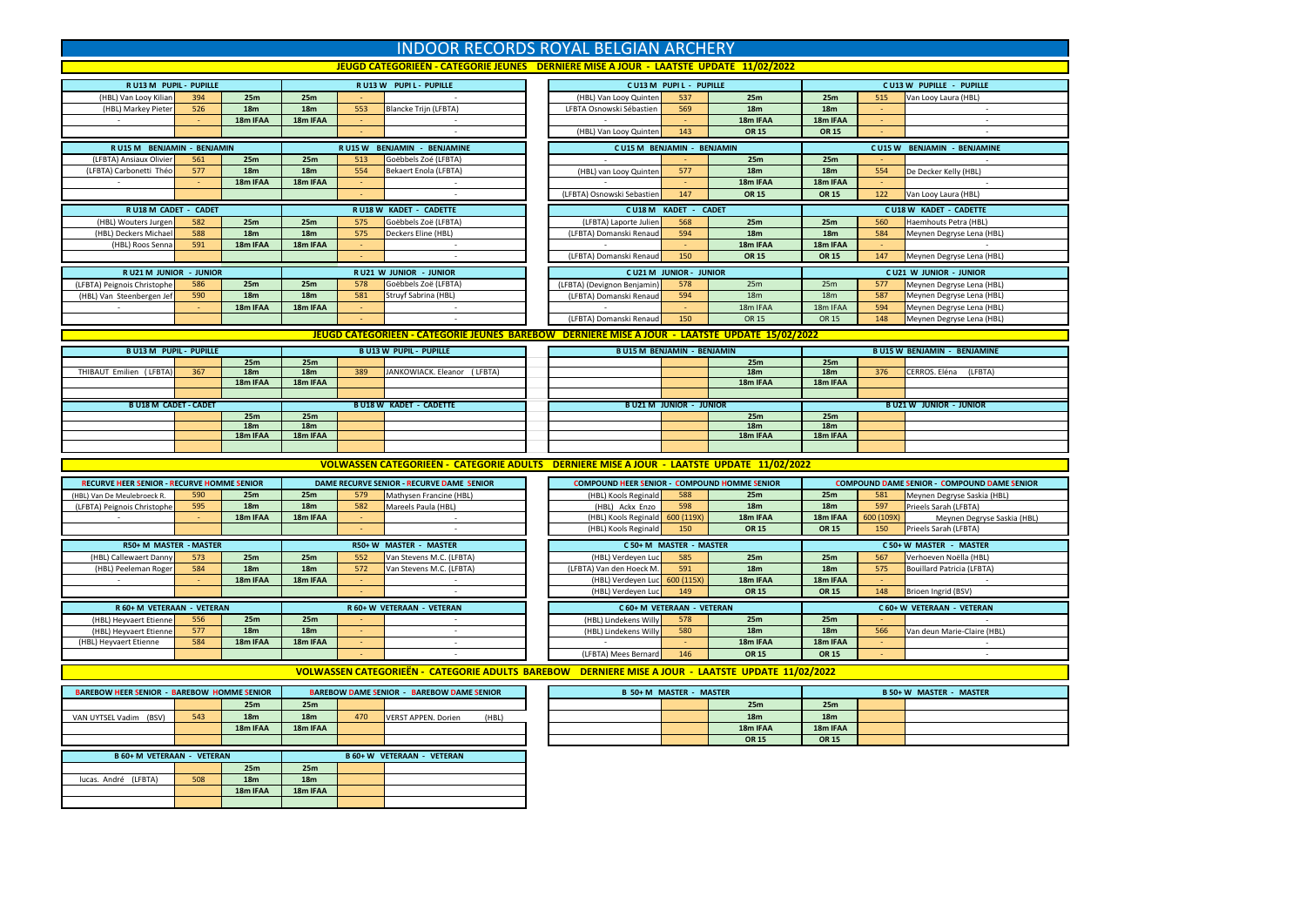| <b>INDOOR RECORDS ROYAL BELGIAN ARCHERY</b>                                           |            |                             |                             |        |                                                                                                   |  |                                                     |                                |                             |                                    |                                                                                           |                                                        |  |  |  |  |  |  |  |  |
|---------------------------------------------------------------------------------------|------------|-----------------------------|-----------------------------|--------|---------------------------------------------------------------------------------------------------|--|-----------------------------------------------------|--------------------------------|-----------------------------|------------------------------------|-------------------------------------------------------------------------------------------|--------------------------------------------------------|--|--|--|--|--|--|--|--|
| JEUGD CATEGORIEËN - CATEGORIE JEUNES DERNIERE MISE A JOUR - LAATSTE UPDATE 11/02/2022 |            |                             |                             |        |                                                                                                   |  |                                                     |                                |                             |                                    |                                                                                           |                                                        |  |  |  |  |  |  |  |  |
| <b>RU13 M PUPIL - PUPILLE</b>                                                         |            |                             |                             |        | RU13W PUPIL-PUPILLE                                                                               |  |                                                     | CU13 M PUPIL - PUPILLE         |                             | CU13 W PUPILLE - PUPILLE           |                                                                                           |                                                        |  |  |  |  |  |  |  |  |
| (HBL) Van Looy Kilian                                                                 | 394        | 25m                         | 25m                         |        |                                                                                                   |  | (HBL) Van Looy Quinten                              | 537                            | 25m                         | 25m                                | 515                                                                                       | Van Looy Laura (HBL)                                   |  |  |  |  |  |  |  |  |
| (HBL) Markey Pieter                                                                   | 526        | 18 <sub>m</sub><br>18m IFAA | <b>18m</b><br>18m IFAA      | 553    | <b>Blancke Trijn (LFBTA)</b>                                                                      |  | LFBTA Osnowski Sébastien                            | 569                            | 18 <sub>m</sub><br>18m IFAA | 18 <sub>m</sub><br>18m IFAA        |                                                                                           |                                                        |  |  |  |  |  |  |  |  |
|                                                                                       |            |                             |                             |        |                                                                                                   |  | (HBL) Van Looy Quinten                              | 143                            | <b>OR 15</b>                | <b>OR 15</b>                       |                                                                                           |                                                        |  |  |  |  |  |  |  |  |
| RU15 M BENJAMIN - BENJAMIN<br>RU15 W BENJAMIN - BENJAMINE                             |            |                             |                             |        |                                                                                                   |  | <b>CU15 M BENJAMIN - BENJAMIN</b>                   |                                |                             | <b>CU15 W BENJAMIN - BENJAMINE</b> |                                                                                           |                                                        |  |  |  |  |  |  |  |  |
| (LFBTA) Ansiaux Olivier                                                               | 561        | 25m                         | 25m                         | 513    | Goëbbels Zoé (LFBTA)                                                                              |  |                                                     |                                | 25m                         | 25m                                |                                                                                           |                                                        |  |  |  |  |  |  |  |  |
| (LFBTA) Carbonetti Théo                                                               | 577        | 18 <sub>m</sub>             | 18m                         | 554    | <b>Bekaert Enola (LFBTA)</b>                                                                      |  | (HBL) van Looy Quinten                              | 577                            | 18m                         | <b>18m</b>                         | 554                                                                                       | De Decker Kelly (HBL)                                  |  |  |  |  |  |  |  |  |
|                                                                                       |            | 18m IFAA                    | 18m IFAA                    |        |                                                                                                   |  |                                                     |                                | 18m IFAA                    | 18m IFAA                           |                                                                                           |                                                        |  |  |  |  |  |  |  |  |
|                                                                                       |            |                             | $\overline{\phantom{a}}$    |        |                                                                                                   |  | <b>OR 15</b><br>(LFBTA) Osnowski Sebastien<br>147   |                                |                             |                                    | <b>OR 15</b><br>122<br>Van Looy Laura (HBL)                                               |                                                        |  |  |  |  |  |  |  |  |
| RU18 M CADET - CADET<br>(HBL) Wouters Jurgen                                          | 582        | 25m                         | 25m                         | 575    | RU18 W KADET - CADETTE<br>Goëbbels Zoë (LFBTA)                                                    |  | <b>CU18M</b><br>(LFBTA) Laporte Julier              | KADET -<br>568                 | <b>CADET</b><br>25m         | 25m                                | 560                                                                                       | <b>CU18 W KADET - CADETTE</b><br>Haemhouts Petra (HBL) |  |  |  |  |  |  |  |  |
| (HBL) Deckers Michael                                                                 | 588        | 18 <sub>m</sub>             | 18m                         | 575    | Deckers Eline (HBL)                                                                               |  | (LFBTA) Domanski Renaud                             | 594                            | <b>18m</b>                  | 18 <sub>m</sub>                    | 584                                                                                       | Meynen Degryse Lena (HBL)                              |  |  |  |  |  |  |  |  |
| (HBL) Roos Senna                                                                      | 591        | 18m IFAA                    | 18m IFAA                    |        |                                                                                                   |  |                                                     |                                | 18m IFAA                    | 18m IFAA                           |                                                                                           |                                                        |  |  |  |  |  |  |  |  |
|                                                                                       |            |                             |                             |        | ×,                                                                                                |  | (LFBTA) Domanski Renaud                             | 150                            | <b>OR 15</b>                | <b>OR 15</b>                       | 147                                                                                       | Meynen Degryse Lena (HBL)                              |  |  |  |  |  |  |  |  |
| R U21 M JUNIOR - JUNIOR                                                               |            |                             |                             |        | R U21 W JUNIOR - JUNIOR                                                                           |  |                                                     | <b>CU21 M JUNIOR - JUNIOR</b>  |                             |                                    |                                                                                           | <b>CU21 W JUNIOR - JUNIOR</b>                          |  |  |  |  |  |  |  |  |
| (LFBTA) Peignois Christophe                                                           | 586        | 25m                         | 25m                         | 578    | Goëbbels Zoë (LFBTA)                                                                              |  | (LFBTA) (Devignon Benjamin)                         | 578                            | 25m                         | 25m                                | 577                                                                                       | Meynen Degryse Lena (HBL)                              |  |  |  |  |  |  |  |  |
| (HBL) Van Steenbergen Jef                                                             | 590        | 18 <sub>m</sub><br>18m IFAA | 18 <sub>m</sub>             | 581    | Struyf Sabrina (HBL)                                                                              |  | (LFBTA) Domanski Renaud                             | 594                            | 18m                         | 18 <sub>m</sub>                    | 587                                                                                       | Meynen Degryse Lena (HBL)                              |  |  |  |  |  |  |  |  |
| $\sim$                                                                                |            |                             | 18m IFAA                    | $\sim$ |                                                                                                   |  | (LFBTA) Domanski Renaud                             | 150                            | 18m IFAA<br>OR 15           | 18m IFAA<br>OR 15                  | 594<br>148                                                                                | Meynen Degryse Lena (HBL)<br>Meynen Degryse Lena (HBL) |  |  |  |  |  |  |  |  |
|                                                                                       |            |                             |                             |        | JEUGD CATEGORIEEN - CATEGORIE JEUNES BAREBOW DERNIERE MISE A JOUR - LAATSTE UPDATE 15/02/2022     |  |                                                     |                                |                             |                                    |                                                                                           |                                                        |  |  |  |  |  |  |  |  |
|                                                                                       |            |                             |                             |        |                                                                                                   |  |                                                     |                                |                             |                                    |                                                                                           |                                                        |  |  |  |  |  |  |  |  |
| <b>BU13 M PUPIL - PUPILLE</b>                                                         |            | 25m                         | 25m                         |        | <b>BU13W PUPIL - PUPILLE</b>                                                                      |  | <b>BU15 M BENJAMIN - BENJAMIN</b>                   |                                | 25m                         | 25m                                |                                                                                           | <b>BU15 W BENJAMIN - BENJAMINE</b>                     |  |  |  |  |  |  |  |  |
| THIBAUT Emilien (LFBTA)                                                               | 367        | 18 <sub>m</sub>             | 18 <sub>m</sub>             | 389    | JANKOWIACK. Eleanor (LFBTA)                                                                       |  |                                                     |                                | 18m                         | 18 <sub>m</sub>                    | 376                                                                                       | CERROS. Eléna (LFBTA)                                  |  |  |  |  |  |  |  |  |
|                                                                                       |            | 18m IFAA                    | 18m IFAA                    |        |                                                                                                   |  |                                                     |                                | 18m IFAA                    | 18m IFAA                           |                                                                                           |                                                        |  |  |  |  |  |  |  |  |
| <b>BU18 M CADET - CADET</b>                                                           |            |                             |                             |        | <b>BU18W KADET - CADETTE</b>                                                                      |  |                                                     | <b>BU21 M JUNIOR - JUNIOR</b>  |                             |                                    |                                                                                           | <b>BU21 W JUNIOR - JUNIOR</b>                          |  |  |  |  |  |  |  |  |
|                                                                                       |            | 25m                         | 25m                         |        |                                                                                                   |  |                                                     |                                | 25m                         | 25m                                |                                                                                           |                                                        |  |  |  |  |  |  |  |  |
|                                                                                       |            | 18m                         | 18 <sub>m</sub>             |        |                                                                                                   |  |                                                     |                                | <b>18m</b>                  | <b>18m</b>                         |                                                                                           |                                                        |  |  |  |  |  |  |  |  |
|                                                                                       |            | 18m IFAA                    | 18m IFAA                    |        |                                                                                                   |  |                                                     |                                | 18m IFAA                    | 18m IFAA                           |                                                                                           |                                                        |  |  |  |  |  |  |  |  |
|                                                                                       |            |                             |                             |        |                                                                                                   |  |                                                     |                                |                             |                                    |                                                                                           |                                                        |  |  |  |  |  |  |  |  |
|                                                                                       |            |                             |                             |        |                                                                                                   |  |                                                     |                                |                             |                                    | VOLWASSEN CATEGORIEËN - CATEGORIE ADULTS DERNIERE MISE A JOUR - LAATSTE UPDATE 11/02/2022 |                                                        |  |  |  |  |  |  |  |  |
| <b>RECURVE HEER SENIOR - RECURVE HOMME SENIOR</b>                                     |            |                             |                             |        | DAME RECURVE SENIOR - RECURVE DAME SENIOR                                                         |  |                                                     |                                |                             |                                    |                                                                                           |                                                        |  |  |  |  |  |  |  |  |
| HBL) Van De Meulebroeck R.<br>(LFBTA) Peignois Christophe                             | 590        |                             |                             |        |                                                                                                   |  | <b>COMPOUND HEER SENIOR - COMPOUND HOMME SENIOR</b> |                                |                             |                                    |                                                                                           | <b>COMPOUND DAME SENIOR - COMPOUND DAME SENIOR</b>     |  |  |  |  |  |  |  |  |
|                                                                                       |            | 25m                         | 25m                         | 579    | Mathysen Francine (HBL)                                                                           |  | (HBL) Kools Reginald                                | 588                            | 25m                         | 25m                                | 581                                                                                       | Meynen Degryse Saskia (HBL)                            |  |  |  |  |  |  |  |  |
|                                                                                       | 595        | 18 <sub>m</sub>             | 18m                         | 582    | Mareels Paula (HBL)                                                                               |  | (HBL) Ackx Enzo                                     | 598                            | <b>18m</b>                  | <b>18m</b>                         | 597                                                                                       | Prieels Sarah (LFBTA)                                  |  |  |  |  |  |  |  |  |
|                                                                                       |            | 18m IFAA                    | 18m IFAA                    |        |                                                                                                   |  | (HBL) Kools Reginald<br>(HBL) Kools Reginald        | 600 (119X<br>150               | 18m IFAA<br><b>OR 15</b>    | 18m IFAA<br><b>OR 15</b>           | 600 (109X)<br>150                                                                         | Meynen Degryse Saskia (HBL)<br>Prieels Sarah (LFBTA)   |  |  |  |  |  |  |  |  |
|                                                                                       |            |                             |                             |        |                                                                                                   |  |                                                     |                                |                             |                                    |                                                                                           |                                                        |  |  |  |  |  |  |  |  |
| R50+ M MASTER - MASTER<br>(HBL) Callewaert Danny                                      | 573        | 25m                         | 25m                         | 552    | R50+ W MASTER - MASTER<br>Van Stevens M.C. (LFBTA)                                                |  | (HBL) Verdeyen Luc                                  | C 50+ M MASTER - MASTER<br>585 | 25m                         | 25m                                | 567                                                                                       | C 50+ W MASTER - MASTER<br>Verhoeven Noëlla (HBL)      |  |  |  |  |  |  |  |  |
| (HBL) Peeleman Roger                                                                  | 584        | 18 <sub>m</sub>             | 18m                         | 572    | Van Stevens M.C. (LFBTA)                                                                          |  | (LFBTA) Van den Hoeck M.                            | 591                            | <b>18m</b>                  | <b>18m</b>                         | 575                                                                                       | <b>Bouillard Patricia (LFBTA)</b>                      |  |  |  |  |  |  |  |  |
|                                                                                       |            | 18m IFAA                    | 18m IFAA                    |        |                                                                                                   |  | (HBL) Verdeyen Luc                                  | 600 (115X)                     | 18m IFAA                    | 18m IFAA                           |                                                                                           |                                                        |  |  |  |  |  |  |  |  |
|                                                                                       |            |                             |                             |        |                                                                                                   |  | (HBL) Verdeyen Luc                                  | 149                            | <b>OR 15</b>                | <b>OR 15</b>                       | 148                                                                                       | Brioen Ingrid (BSV)                                    |  |  |  |  |  |  |  |  |
| R 60+ M VETERAAN - VETERAN                                                            |            |                             |                             |        | R 60+ W VETERAAN - VETERAN                                                                        |  | C 60+ M VETERAAN - VETERAN                          |                                |                             |                                    |                                                                                           | C 60+ W VETERAAN - VETERAN                             |  |  |  |  |  |  |  |  |
| (HBL) Heyvaert Etienne                                                                | 556        | 25m                         | 25m                         |        | $\sim$                                                                                            |  | (HBL) Lindekens Willy                               | 578                            | 25m                         | 25m                                |                                                                                           |                                                        |  |  |  |  |  |  |  |  |
| (HBL) Heyvaert Etienne<br>(HBL) Heyvaert Etienne                                      | 577<br>584 | <b>18m</b><br>18m IFAA      | <b>18m</b><br>18m IFAA      | $\sim$ | $\sim$                                                                                            |  | (HBL) Lindekens Willy                               | 580                            | 18m<br>18m IFAA             | <b>18m</b><br>18m IFAA             | 566                                                                                       | Van deun Marie-Claire (HBL)                            |  |  |  |  |  |  |  |  |
|                                                                                       |            |                             |                             |        |                                                                                                   |  | (LFBTA) Mees Bernard                                | 146                            | <b>OR 15</b>                | <b>OR 15</b>                       |                                                                                           |                                                        |  |  |  |  |  |  |  |  |
|                                                                                       |            |                             |                             |        | VOLWASSEN CATEGORIEËN - CATEGORIE ADULTS BAREBOW DERNIERE MISE A JOUR - LAATSTE UPDATE 11/02/2022 |  |                                                     |                                |                             |                                    |                                                                                           |                                                        |  |  |  |  |  |  |  |  |
|                                                                                       |            |                             |                             |        |                                                                                                   |  |                                                     |                                |                             |                                    |                                                                                           |                                                        |  |  |  |  |  |  |  |  |
| <b>BAREBOW HEER SENIOR - BAREBOW HOMME SENIOR</b>                                     |            |                             |                             |        | <b>BAREBOW DAME SENIOR - BAREBOW DAME SENIOR</b>                                                  |  |                                                     | <b>B 50+M MASTER - MASTER</b>  |                             |                                    |                                                                                           | <b>B 50+ W MASTER - MASTER</b>                         |  |  |  |  |  |  |  |  |
|                                                                                       |            | 25m<br>18 <sub>m</sub>      | 25m<br>18 <sub>m</sub>      | 470    |                                                                                                   |  |                                                     |                                | 25m<br>18 <sub>m</sub>      | 25m                                |                                                                                           |                                                        |  |  |  |  |  |  |  |  |
| VAN UYTSEL Vadim (BSV)                                                                | 543        | 18m IFAA                    | 18m IFAA                    |        | <b>VERST APPEN. Dorien</b><br>(HBL)                                                               |  |                                                     |                                | 18m IFAA                    | 18m<br>18m IFAA                    |                                                                                           |                                                        |  |  |  |  |  |  |  |  |
|                                                                                       |            |                             |                             |        |                                                                                                   |  |                                                     |                                | <b>OR 15</b>                | <b>OR 15</b>                       |                                                                                           |                                                        |  |  |  |  |  |  |  |  |
| <b>B 60+ M VETERAAN - VETERAN</b>                                                     |            |                             |                             |        | <b>B 60+ W VETERAAN - VETERAN</b>                                                                 |  |                                                     |                                |                             |                                    |                                                                                           |                                                        |  |  |  |  |  |  |  |  |
|                                                                                       |            | 25m                         | 25m                         |        |                                                                                                   |  |                                                     |                                |                             |                                    |                                                                                           |                                                        |  |  |  |  |  |  |  |  |
| lucas. André (LFBTA)                                                                  | 508        | 18 <sub>m</sub><br>18m IFAA | 18 <sub>m</sub><br>18m IFAA |        |                                                                                                   |  |                                                     |                                |                             |                                    |                                                                                           |                                                        |  |  |  |  |  |  |  |  |